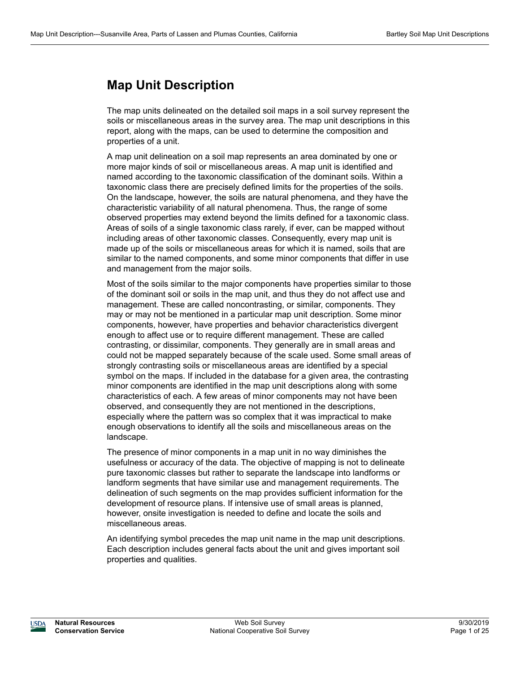# **Map Unit Description**

The map units delineated on the detailed soil maps in a soil survey represent the soils or miscellaneous areas in the survey area. The map unit descriptions in this report, along with the maps, can be used to determine the composition and properties of a unit.

A map unit delineation on a soil map represents an area dominated by one or more major kinds of soil or miscellaneous areas. A map unit is identified and named according to the taxonomic classification of the dominant soils. Within a taxonomic class there are precisely defined limits for the properties of the soils. On the landscape, however, the soils are natural phenomena, and they have the characteristic variability of all natural phenomena. Thus, the range of some observed properties may extend beyond the limits defined for a taxonomic class. Areas of soils of a single taxonomic class rarely, if ever, can be mapped without including areas of other taxonomic classes. Consequently, every map unit is made up of the soils or miscellaneous areas for which it is named, soils that are similar to the named components, and some minor components that differ in use and management from the major soils.

Most of the soils similar to the major components have properties similar to those of the dominant soil or soils in the map unit, and thus they do not affect use and management. These are called noncontrasting, or similar, components. They may or may not be mentioned in a particular map unit description. Some minor components, however, have properties and behavior characteristics divergent enough to affect use or to require different management. These are called contrasting, or dissimilar, components. They generally are in small areas and could not be mapped separately because of the scale used. Some small areas of strongly contrasting soils or miscellaneous areas are identified by a special symbol on the maps. If included in the database for a given area, the contrasting minor components are identified in the map unit descriptions along with some characteristics of each. A few areas of minor components may not have been observed, and consequently they are not mentioned in the descriptions, especially where the pattern was so complex that it was impractical to make enough observations to identify all the soils and miscellaneous areas on the landscape.

The presence of minor components in a map unit in no way diminishes the usefulness or accuracy of the data. The objective of mapping is not to delineate pure taxonomic classes but rather to separate the landscape into landforms or landform segments that have similar use and management requirements. The delineation of such segments on the map provides sufficient information for the development of resource plans. If intensive use of small areas is planned, however, onsite investigation is needed to define and locate the soils and miscellaneous areas.

An identifying symbol precedes the map unit name in the map unit descriptions. Each description includes general facts about the unit and gives important soil properties and qualities.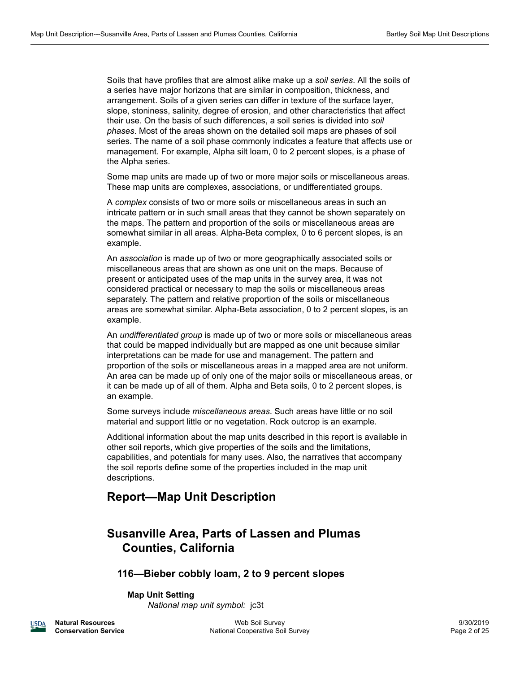Soils that have profiles that are almost alike make up a *soil series*. All the soils of a series have major horizons that are similar in composition, thickness, and arrangement. Soils of a given series can differ in texture of the surface layer, slope, stoniness, salinity, degree of erosion, and other characteristics that affect their use. On the basis of such differences, a soil series is divided into *soil phases*. Most of the areas shown on the detailed soil maps are phases of soil series. The name of a soil phase commonly indicates a feature that affects use or management. For example, Alpha silt loam, 0 to 2 percent slopes, is a phase of the Alpha series.

Some map units are made up of two or more major soils or miscellaneous areas. These map units are complexes, associations, or undifferentiated groups.

A *complex* consists of two or more soils or miscellaneous areas in such an intricate pattern or in such small areas that they cannot be shown separately on the maps. The pattern and proportion of the soils or miscellaneous areas are somewhat similar in all areas. Alpha-Beta complex, 0 to 6 percent slopes, is an example.

An *association* is made up of two or more geographically associated soils or miscellaneous areas that are shown as one unit on the maps. Because of present or anticipated uses of the map units in the survey area, it was not considered practical or necessary to map the soils or miscellaneous areas separately. The pattern and relative proportion of the soils or miscellaneous areas are somewhat similar. Alpha-Beta association, 0 to 2 percent slopes, is an example.

An *undifferentiated group* is made up of two or more soils or miscellaneous areas that could be mapped individually but are mapped as one unit because similar interpretations can be made for use and management. The pattern and proportion of the soils or miscellaneous areas in a mapped area are not uniform. An area can be made up of only one of the major soils or miscellaneous areas, or it can be made up of all of them. Alpha and Beta soils, 0 to 2 percent slopes, is an example.

Some surveys include *miscellaneous areas*. Such areas have little or no soil material and support little or no vegetation. Rock outcrop is an example.

Additional information about the map units described in this report is available in other soil reports, which give properties of the soils and the limitations, capabilities, and potentials for many uses. Also, the narratives that accompany the soil reports define some of the properties included in the map unit descriptions.

# **Report—Map Unit Description**

# **Susanville Area, Parts of Lassen and Plumas Counties, California**

# **116—Bieber cobbly loam, 2 to 9 percent slopes**

# **Map Unit Setting**

*National map unit symbol:* jc3t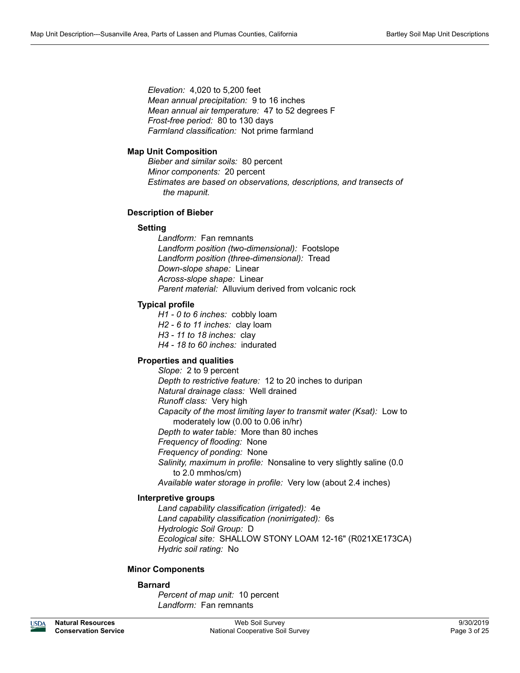*Elevation:* 4,020 to 5,200 feet *Mean annual precipitation:* 9 to 16 inches *Mean annual air temperature:* 47 to 52 degrees F *Frost-free period:* 80 to 130 days *Farmland classification:* Not prime farmland

# **Map Unit Composition**

*Bieber and similar soils:* 80 percent *Minor components:* 20 percent *Estimates are based on observations, descriptions, and transects of the mapunit.*

# **Description of Bieber**

# **Setting**

*Landform:* Fan remnants *Landform position (two-dimensional):* Footslope *Landform position (three-dimensional):* Tread *Down-slope shape:* Linear *Across-slope shape:* Linear *Parent material:* Alluvium derived from volcanic rock

# **Typical profile**

*H1 - 0 to 6 inches:* cobbly loam *H2 - 6 to 11 inches:* clay loam *H3 - 11 to 18 inches:* clay *H4 - 18 to 60 inches:* indurated

# **Properties and qualities**

*Slope:* 2 to 9 percent *Depth to restrictive feature:* 12 to 20 inches to duripan *Natural drainage class:* Well drained *Runoff class:* Very high *Capacity of the most limiting layer to transmit water (Ksat):* Low to moderately low (0.00 to 0.06 in/hr) *Depth to water table:* More than 80 inches *Frequency of flooding:* None *Frequency of ponding:* None *Salinity, maximum in profile:* Nonsaline to very slightly saline (0.0 to 2.0 mmhos/cm) *Available water storage in profile:* Very low (about 2.4 inches)

# **Interpretive groups**

*Land capability classification (irrigated):* 4e *Land capability classification (nonirrigated):* 6s *Hydrologic Soil Group:* D *Ecological site:* SHALLOW STONY LOAM 12-16" (R021XE173CA) *Hydric soil rating:* No

# **Minor Components**

# **Barnard**

*Percent of map unit:* 10 percent *Landform:* Fan remnants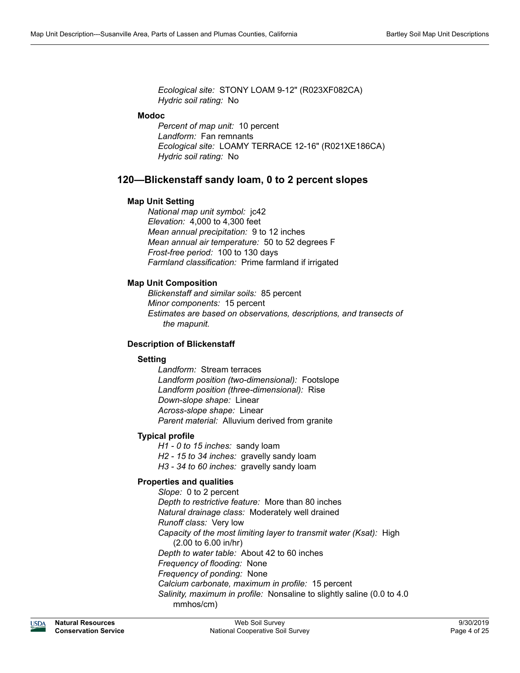*Ecological site:* STONY LOAM 9-12" (R023XF082CA) *Hydric soil rating:* No

# **Modoc**

*Percent of map unit:* 10 percent *Landform:* Fan remnants *Ecological site:* LOAMY TERRACE 12-16" (R021XE186CA) *Hydric soil rating:* No

# **120—Blickenstaff sandy loam, 0 to 2 percent slopes**

# **Map Unit Setting**

*National map unit symbol:* jc42 *Elevation:* 4,000 to 4,300 feet *Mean annual precipitation:* 9 to 12 inches *Mean annual air temperature:* 50 to 52 degrees F *Frost-free period:* 100 to 130 days *Farmland classification:* Prime farmland if irrigated

# **Map Unit Composition**

*Blickenstaff and similar soils:* 85 percent *Minor components:* 15 percent *Estimates are based on observations, descriptions, and transects of the mapunit.*

# **Description of Blickenstaff**

# **Setting**

*Landform:* Stream terraces *Landform position (two-dimensional):* Footslope *Landform position (three-dimensional):* Rise *Down-slope shape:* Linear *Across-slope shape:* Linear *Parent material:* Alluvium derived from granite

# **Typical profile**

*H1 - 0 to 15 inches:* sandy loam *H2 - 15 to 34 inches:* gravelly sandy loam *H3 - 34 to 60 inches:* gravelly sandy loam

# **Properties and qualities**

*Slope:* 0 to 2 percent *Depth to restrictive feature:* More than 80 inches *Natural drainage class:* Moderately well drained *Runoff class:* Very low *Capacity of the most limiting layer to transmit water (Ksat):* High (2.00 to 6.00 in/hr) *Depth to water table:* About 42 to 60 inches *Frequency of flooding:* None *Frequency of ponding:* None *Calcium carbonate, maximum in profile:* 15 percent *Salinity, maximum in profile:* Nonsaline to slightly saline (0.0 to 4.0 mmhos/cm)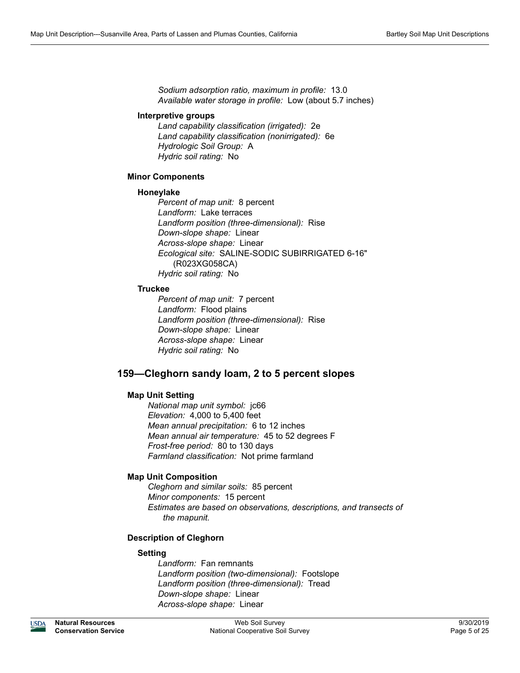*Sodium adsorption ratio, maximum in profile:* 13.0 *Available water storage in profile:* Low (about 5.7 inches)

#### **Interpretive groups**

*Land capability classification (irrigated):* 2e *Land capability classification (nonirrigated):* 6e *Hydrologic Soil Group:* A *Hydric soil rating:* No

# **Minor Components**

#### **Honeylake**

*Percent of map unit:* 8 percent *Landform:* Lake terraces *Landform position (three-dimensional):* Rise *Down-slope shape:* Linear *Across-slope shape:* Linear *Ecological site:* SALINE-SODIC SUBIRRIGATED 6-16" (R023XG058CA) *Hydric soil rating:* No

# **Truckee**

*Percent of map unit:* 7 percent *Landform:* Flood plains *Landform position (three-dimensional):* Rise *Down-slope shape:* Linear *Across-slope shape:* Linear *Hydric soil rating:* No

# **159—Cleghorn sandy loam, 2 to 5 percent slopes**

# **Map Unit Setting**

*National map unit symbol:* jc66 *Elevation:* 4,000 to 5,400 feet *Mean annual precipitation:* 6 to 12 inches *Mean annual air temperature:* 45 to 52 degrees F *Frost-free period:* 80 to 130 days *Farmland classification:* Not prime farmland

# **Map Unit Composition**

*Cleghorn and similar soils:* 85 percent *Minor components:* 15 percent *Estimates are based on observations, descriptions, and transects of the mapunit.*

# **Description of Cleghorn**

# **Setting**

*Landform:* Fan remnants *Landform position (two-dimensional):* Footslope *Landform position (three-dimensional):* Tread *Down-slope shape:* Linear *Across-slope shape:* Linear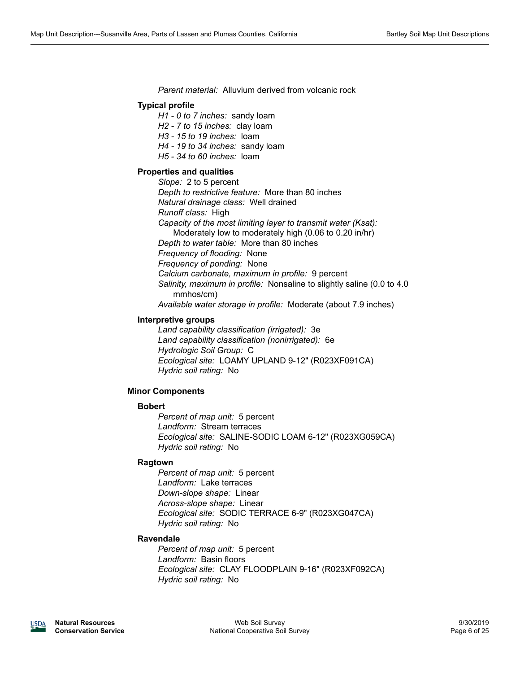*Parent material:* Alluvium derived from volcanic rock

# **Typical profile**

*H1 - 0 to 7 inches:* sandy loam

*H2 - 7 to 15 inches:* clay loam

*H3 - 15 to 19 inches:* loam

*H4 - 19 to 34 inches:* sandy loam

*H5 - 34 to 60 inches:* loam

# **Properties and qualities**

*Slope:* 2 to 5 percent *Depth to restrictive feature:* More than 80 inches *Natural drainage class:* Well drained *Runoff class:* High *Capacity of the most limiting layer to transmit water (Ksat):*  Moderately low to moderately high (0.06 to 0.20 in/hr) *Depth to water table:* More than 80 inches *Frequency of flooding:* None *Frequency of ponding:* None *Calcium carbonate, maximum in profile:* 9 percent *Salinity, maximum in profile:* Nonsaline to slightly saline (0.0 to 4.0 mmhos/cm) *Available water storage in profile:* Moderate (about 7.9 inches)

# **Interpretive groups**

*Land capability classification (irrigated):* 3e *Land capability classification (nonirrigated):* 6e *Hydrologic Soil Group:* C *Ecological site:* LOAMY UPLAND 9-12" (R023XF091CA) *Hydric soil rating:* No

# **Minor Components**

# **Bobert**

*Percent of map unit:* 5 percent *Landform:* Stream terraces *Ecological site:* SALINE-SODIC LOAM 6-12" (R023XG059CA) *Hydric soil rating:* No

# **Ragtown**

*Percent of map unit:* 5 percent *Landform:* Lake terraces *Down-slope shape:* Linear *Across-slope shape:* Linear *Ecological site:* SODIC TERRACE 6-9" (R023XG047CA) *Hydric soil rating:* No

# **Ravendale**

*Percent of map unit:* 5 percent *Landform:* Basin floors *Ecological site:* CLAY FLOODPLAIN 9-16" (R023XF092CA) *Hydric soil rating:* No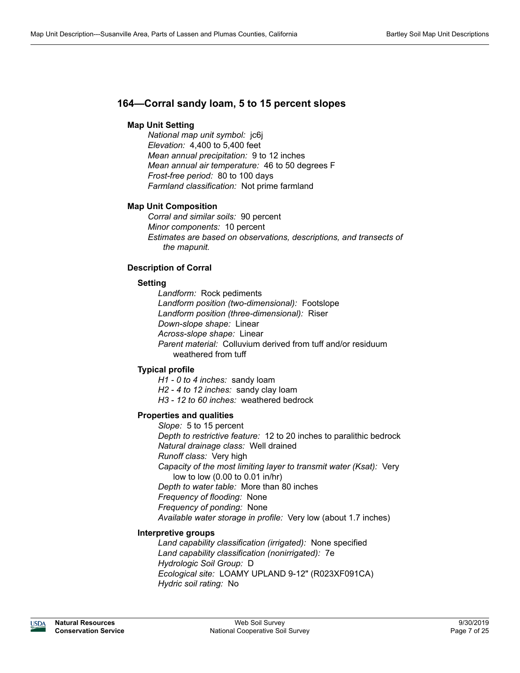# **164—Corral sandy loam, 5 to 15 percent slopes**

# **Map Unit Setting**

*National map unit symbol:* jc6j *Elevation:* 4,400 to 5,400 feet *Mean annual precipitation:* 9 to 12 inches *Mean annual air temperature:* 46 to 50 degrees F *Frost-free period:* 80 to 100 days *Farmland classification:* Not prime farmland

# **Map Unit Composition**

*Corral and similar soils:* 90 percent *Minor components:* 10 percent *Estimates are based on observations, descriptions, and transects of the mapunit.*

# **Description of Corral**

# **Setting**

*Landform:* Rock pediments *Landform position (two-dimensional):* Footslope *Landform position (three-dimensional):* Riser *Down-slope shape:* Linear *Across-slope shape:* Linear *Parent material:* Colluvium derived from tuff and/or residuum weathered from tuff

# **Typical profile**

*H1 - 0 to 4 inches:* sandy loam *H2 - 4 to 12 inches:* sandy clay loam *H3 - 12 to 60 inches:* weathered bedrock

# **Properties and qualities**

*Slope:* 5 to 15 percent *Depth to restrictive feature:* 12 to 20 inches to paralithic bedrock *Natural drainage class:* Well drained *Runoff class:* Very high *Capacity of the most limiting layer to transmit water (Ksat):* Very low to low (0.00 to 0.01 in/hr) *Depth to water table:* More than 80 inches *Frequency of flooding:* None *Frequency of ponding:* None *Available water storage in profile:* Very low (about 1.7 inches)

# **Interpretive groups**

*Land capability classification (irrigated):* None specified *Land capability classification (nonirrigated):* 7e *Hydrologic Soil Group:* D *Ecological site:* LOAMY UPLAND 9-12" (R023XF091CA) *Hydric soil rating:* No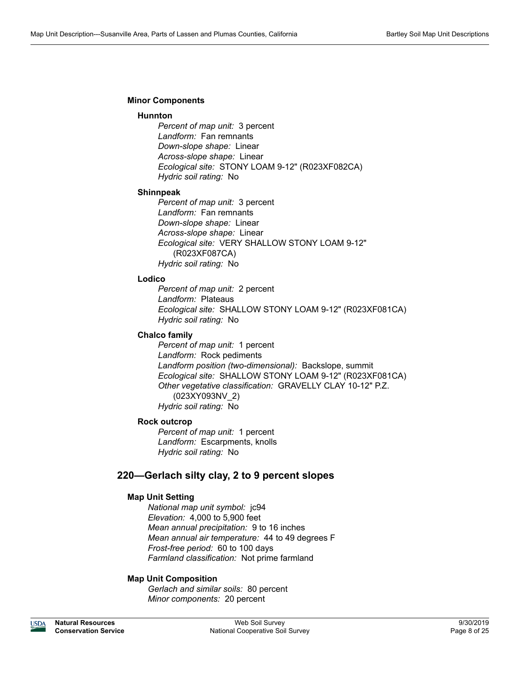# **Minor Components**

#### **Hunnton**

*Percent of map unit:* 3 percent *Landform:* Fan remnants *Down-slope shape:* Linear *Across-slope shape:* Linear *Ecological site:* STONY LOAM 9-12" (R023XF082CA) *Hydric soil rating:* No

#### **Shinnpeak**

*Percent of map unit:* 3 percent *Landform:* Fan remnants *Down-slope shape:* Linear *Across-slope shape:* Linear *Ecological site:* VERY SHALLOW STONY LOAM 9-12" (R023XF087CA) *Hydric soil rating:* No

# **Lodico**

*Percent of map unit:* 2 percent *Landform:* Plateaus *Ecological site:* SHALLOW STONY LOAM 9-12" (R023XF081CA) *Hydric soil rating:* No

# **Chalco family**

*Percent of map unit:* 1 percent *Landform:* Rock pediments *Landform position (two-dimensional):* Backslope, summit *Ecological site:* SHALLOW STONY LOAM 9-12" (R023XF081CA) *Other vegetative classification:* GRAVELLY CLAY 10-12" P.Z. (023XY093NV\_2) *Hydric soil rating:* No

# **Rock outcrop**

*Percent of map unit:* 1 percent *Landform:* Escarpments, knolls *Hydric soil rating:* No

# **220—Gerlach silty clay, 2 to 9 percent slopes**

# **Map Unit Setting**

*National map unit symbol:* jc94 *Elevation:* 4,000 to 5,900 feet *Mean annual precipitation:* 9 to 16 inches *Mean annual air temperature:* 44 to 49 degrees F *Frost-free period:* 60 to 100 days *Farmland classification:* Not prime farmland

# **Map Unit Composition**

*Gerlach and similar soils:* 80 percent *Minor components:* 20 percent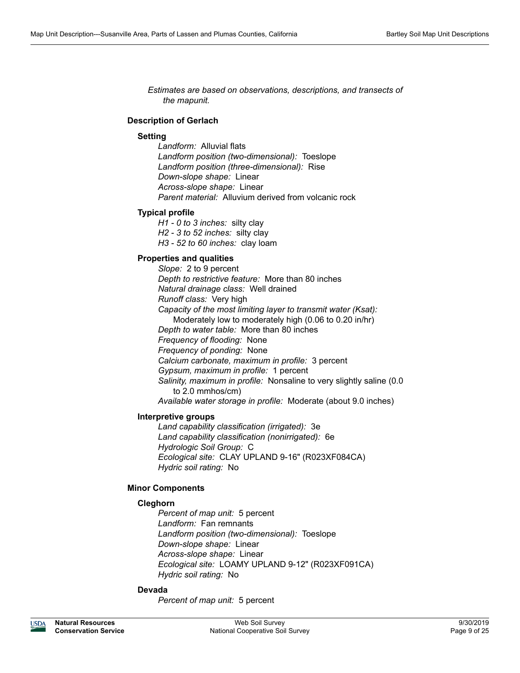*Estimates are based on observations, descriptions, and transects of the mapunit.*

# **Description of Gerlach**

#### **Setting**

*Landform:* Alluvial flats *Landform position (two-dimensional):* Toeslope *Landform position (three-dimensional):* Rise *Down-slope shape:* Linear *Across-slope shape:* Linear *Parent material:* Alluvium derived from volcanic rock

#### **Typical profile**

*H1 - 0 to 3 inches:* silty clay *H2 - 3 to 52 inches:* silty clay *H3 - 52 to 60 inches:* clay loam

# **Properties and qualities**

*Slope:* 2 to 9 percent *Depth to restrictive feature:* More than 80 inches *Natural drainage class:* Well drained *Runoff class:* Very high *Capacity of the most limiting layer to transmit water (Ksat):*  Moderately low to moderately high (0.06 to 0.20 in/hr) *Depth to water table:* More than 80 inches *Frequency of flooding:* None *Frequency of ponding:* None *Calcium carbonate, maximum in profile:* 3 percent *Gypsum, maximum in profile:* 1 percent *Salinity, maximum in profile:* Nonsaline to very slightly saline (0.0 to 2.0 mmhos/cm)

*Available water storage in profile:* Moderate (about 9.0 inches)

# **Interpretive groups**

*Land capability classification (irrigated):* 3e *Land capability classification (nonirrigated):* 6e *Hydrologic Soil Group:* C *Ecological site:* CLAY UPLAND 9-16" (R023XF084CA) *Hydric soil rating:* No

# **Minor Components**

# **Cleghorn**

*Percent of map unit:* 5 percent *Landform:* Fan remnants *Landform position (two-dimensional):* Toeslope *Down-slope shape:* Linear *Across-slope shape:* Linear *Ecological site:* LOAMY UPLAND 9-12" (R023XF091CA) *Hydric soil rating:* No

# **Devada**

*Percent of map unit:* 5 percent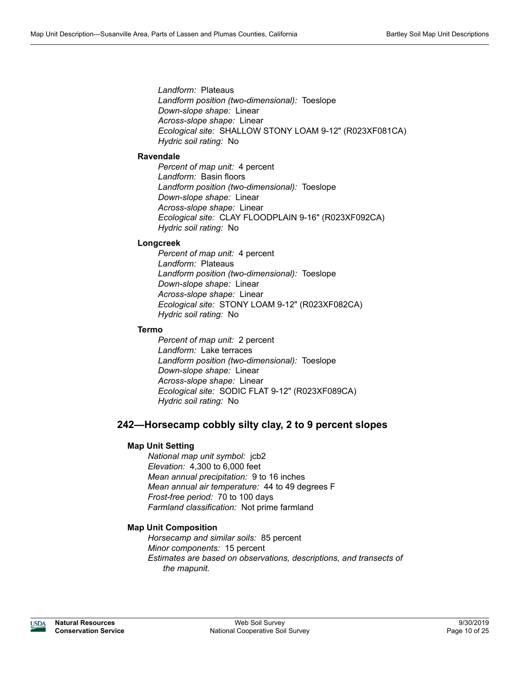*Landform:* Plateaus *Landform position (two-dimensional):* Toeslope *Down-slope shape:* Linear *Across-slope shape:* Linear *Ecological site:* SHALLOW STONY LOAM 9-12" (R023XF081CA) *Hydric soil rating:* No

# **Ravendale**

*Percent of map unit:* 4 percent *Landform:* Basin floors *Landform position (two-dimensional):* Toeslope *Down-slope shape:* Linear *Across-slope shape:* Linear *Ecological site:* CLAY FLOODPLAIN 9-16" (R023XF092CA) *Hydric soil rating:* No

# **Longcreek**

*Percent of map unit:* 4 percent *Landform:* Plateaus *Landform position (two-dimensional):* Toeslope *Down-slope shape:* Linear *Across-slope shape:* Linear *Ecological site:* STONY LOAM 9-12" (R023XF082CA) *Hydric soil rating:* No

# **Termo**

*Percent of map unit:* 2 percent *Landform:* Lake terraces *Landform position (two-dimensional):* Toeslope *Down-slope shape:* Linear *Across-slope shape:* Linear *Ecological site:* SODIC FLAT 9-12" (R023XF089CA) *Hydric soil rating:* No

# **242—Horsecamp cobbly silty clay, 2 to 9 percent slopes**

# **Map Unit Setting**

*National map unit symbol:* jcb2 *Elevation:* 4,300 to 6,000 feet *Mean annual precipitation:* 9 to 16 inches *Mean annual air temperature:* 44 to 49 degrees F *Frost-free period:* 70 to 100 days *Farmland classification:* Not prime farmland

# **Map Unit Composition**

*Horsecamp and similar soils:* 85 percent *Minor components:* 15 percent *Estimates are based on observations, descriptions, and transects of the mapunit.*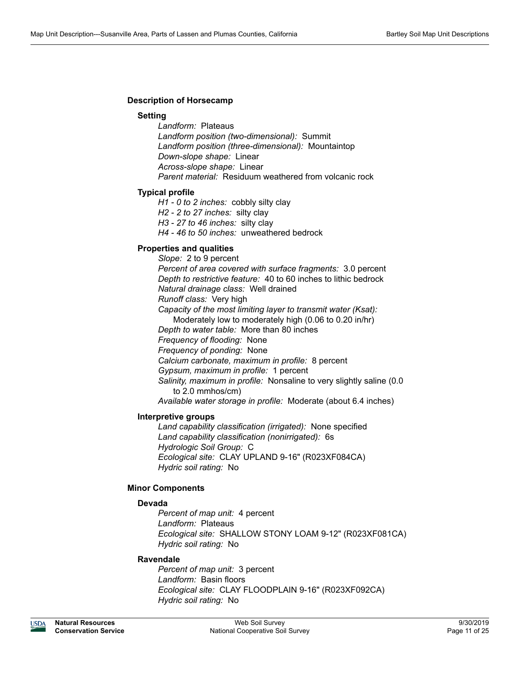# **Description of Horsecamp**

### **Setting**

*Landform:* Plateaus *Landform position (two-dimensional):* Summit *Landform position (three-dimensional):* Mountaintop *Down-slope shape:* Linear *Across-slope shape:* Linear *Parent material:* Residuum weathered from volcanic rock

#### **Typical profile**

*H1 - 0 to 2 inches:* cobbly silty clay *H2 - 2 to 27 inches:* silty clay

*H3 - 27 to 46 inches:* silty clay

*H4 - 46 to 50 inches:* unweathered bedrock

# **Properties and qualities**

*Slope:* 2 to 9 percent *Percent of area covered with surface fragments:* 3.0 percent *Depth to restrictive feature:* 40 to 60 inches to lithic bedrock *Natural drainage class:* Well drained *Runoff class:* Very high *Capacity of the most limiting layer to transmit water (Ksat):*  Moderately low to moderately high (0.06 to 0.20 in/hr) *Depth to water table:* More than 80 inches *Frequency of flooding:* None *Frequency of ponding:* None *Calcium carbonate, maximum in profile:* 8 percent *Gypsum, maximum in profile:* 1 percent *Salinity, maximum in profile:* Nonsaline to very slightly saline (0.0 to 2.0 mmhos/cm) *Available water storage in profile:* Moderate (about 6.4 inches)

**Interpretive groups**

*Land capability classification (irrigated):* None specified *Land capability classification (nonirrigated):* 6s *Hydrologic Soil Group:* C *Ecological site:* CLAY UPLAND 9-16" (R023XF084CA) *Hydric soil rating:* No

# **Minor Components**

# **Devada**

*Percent of map unit:* 4 percent *Landform:* Plateaus *Ecological site:* SHALLOW STONY LOAM 9-12" (R023XF081CA) *Hydric soil rating:* No

#### **Ravendale**

*Percent of map unit:* 3 percent *Landform:* Basin floors *Ecological site:* CLAY FLOODPLAIN 9-16" (R023XF092CA) *Hydric soil rating:* No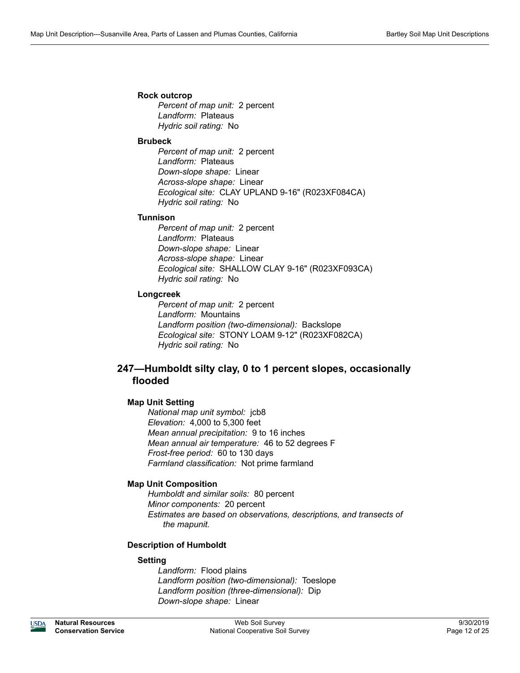### **Rock outcrop**

*Percent of map unit:* 2 percent *Landform:* Plateaus *Hydric soil rating:* No

#### **Brubeck**

*Percent of map unit:* 2 percent *Landform:* Plateaus *Down-slope shape:* Linear *Across-slope shape:* Linear *Ecological site:* CLAY UPLAND 9-16" (R023XF084CA) *Hydric soil rating:* No

#### **Tunnison**

*Percent of map unit:* 2 percent *Landform:* Plateaus *Down-slope shape:* Linear *Across-slope shape:* Linear *Ecological site:* SHALLOW CLAY 9-16" (R023XF093CA) *Hydric soil rating:* No

# **Longcreek**

*Percent of map unit:* 2 percent *Landform:* Mountains *Landform position (two-dimensional):* Backslope *Ecological site:* STONY LOAM 9-12" (R023XF082CA) *Hydric soil rating:* No

# **247—Humboldt silty clay, 0 to 1 percent slopes, occasionally flooded**

# **Map Unit Setting**

*National map unit symbol:* jcb8 *Elevation:* 4,000 to 5,300 feet *Mean annual precipitation:* 9 to 16 inches *Mean annual air temperature:* 46 to 52 degrees F *Frost-free period:* 60 to 130 days *Farmland classification:* Not prime farmland

# **Map Unit Composition**

*Humboldt and similar soils:* 80 percent *Minor components:* 20 percent *Estimates are based on observations, descriptions, and transects of the mapunit.*

# **Description of Humboldt**

# **Setting**

*Landform:* Flood plains *Landform position (two-dimensional):* Toeslope *Landform position (three-dimensional):* Dip *Down-slope shape:* Linear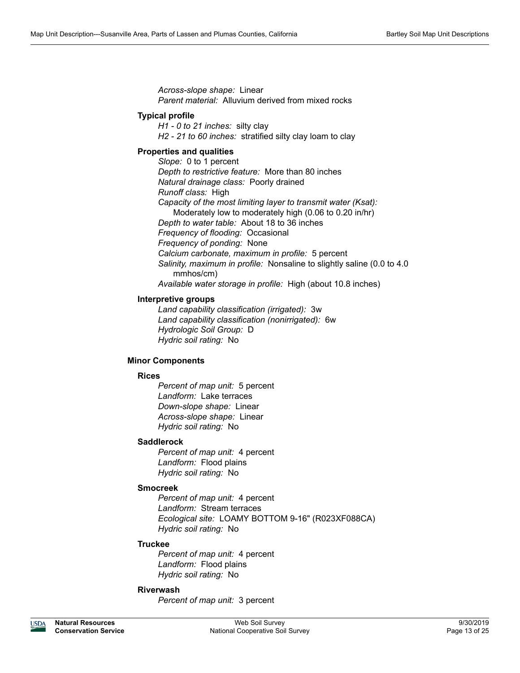*Across-slope shape:* Linear *Parent material:* Alluvium derived from mixed rocks

# **Typical profile**

*H1 - 0 to 21 inches:* silty clay *H2 - 21 to 60 inches:* stratified silty clay loam to clay

# **Properties and qualities**

*Slope:* 0 to 1 percent *Depth to restrictive feature:* More than 80 inches *Natural drainage class:* Poorly drained *Runoff class:* High *Capacity of the most limiting layer to transmit water (Ksat):*  Moderately low to moderately high (0.06 to 0.20 in/hr) *Depth to water table:* About 18 to 36 inches *Frequency of flooding:* Occasional *Frequency of ponding:* None *Calcium carbonate, maximum in profile:* 5 percent *Salinity, maximum in profile:* Nonsaline to slightly saline (0.0 to 4.0 mmhos/cm) *Available water storage in profile:* High (about 10.8 inches)

# **Interpretive groups**

*Land capability classification (irrigated):* 3w *Land capability classification (nonirrigated):* 6w *Hydrologic Soil Group:* D *Hydric soil rating:* No

# **Minor Components**

# **Rices**

*Percent of map unit:* 5 percent *Landform:* Lake terraces *Down-slope shape:* Linear *Across-slope shape:* Linear *Hydric soil rating:* No

# **Saddlerock**

*Percent of map unit:* 4 percent *Landform:* Flood plains *Hydric soil rating:* No

# **Smocreek**

*Percent of map unit:* 4 percent *Landform:* Stream terraces *Ecological site:* LOAMY BOTTOM 9-16" (R023XF088CA) *Hydric soil rating:* No

# **Truckee**

*Percent of map unit:* 4 percent *Landform:* Flood plains *Hydric soil rating:* No

# **Riverwash**

*Percent of map unit:* 3 percent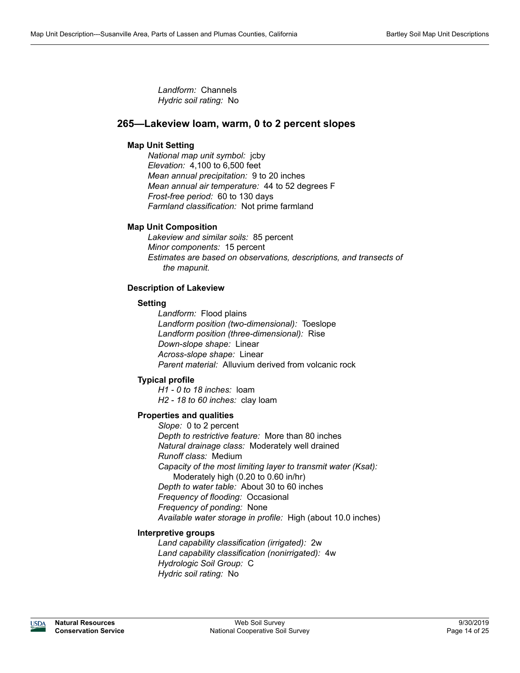*Landform:* Channels *Hydric soil rating:* No

# **265—Lakeview loam, warm, 0 to 2 percent slopes**

# **Map Unit Setting**

*National map unit symbol:* jcby *Elevation:* 4,100 to 6,500 feet *Mean annual precipitation:* 9 to 20 inches *Mean annual air temperature:* 44 to 52 degrees F *Frost-free period:* 60 to 130 days *Farmland classification:* Not prime farmland

# **Map Unit Composition**

*Lakeview and similar soils:* 85 percent *Minor components:* 15 percent *Estimates are based on observations, descriptions, and transects of the mapunit.*

# **Description of Lakeview**

# **Setting**

*Landform:* Flood plains *Landform position (two-dimensional):* Toeslope *Landform position (three-dimensional):* Rise *Down-slope shape:* Linear *Across-slope shape:* Linear *Parent material:* Alluvium derived from volcanic rock

# **Typical profile**

*H1 - 0 to 18 inches:* loam *H2 - 18 to 60 inches:* clay loam

# **Properties and qualities**

*Slope:* 0 to 2 percent *Depth to restrictive feature:* More than 80 inches *Natural drainage class:* Moderately well drained *Runoff class:* Medium *Capacity of the most limiting layer to transmit water (Ksat):*  Moderately high (0.20 to 0.60 in/hr) *Depth to water table:* About 30 to 60 inches *Frequency of flooding:* Occasional *Frequency of ponding:* None *Available water storage in profile:* High (about 10.0 inches)

# **Interpretive groups**

*Land capability classification (irrigated):* 2w *Land capability classification (nonirrigated):* 4w *Hydrologic Soil Group:* C *Hydric soil rating:* No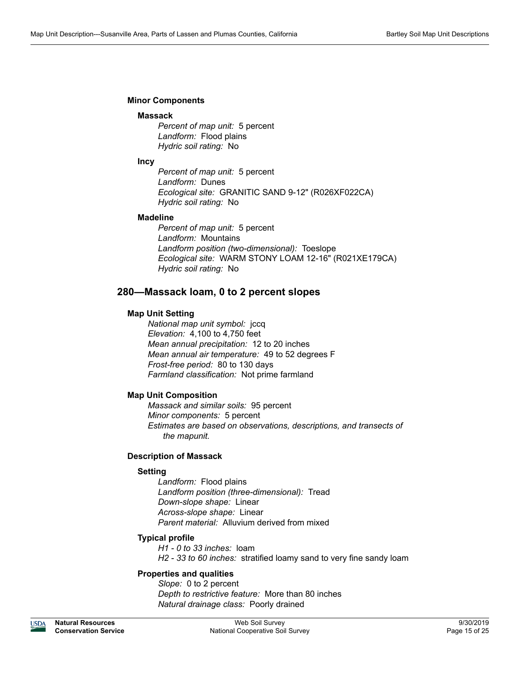### **Minor Components**

#### **Massack**

*Percent of map unit:* 5 percent *Landform:* Flood plains *Hydric soil rating:* No

#### **Incy**

*Percent of map unit:* 5 percent *Landform:* Dunes *Ecological site:* GRANITIC SAND 9-12" (R026XF022CA) *Hydric soil rating:* No

#### **Madeline**

*Percent of map unit:* 5 percent *Landform:* Mountains *Landform position (two-dimensional):* Toeslope *Ecological site:* WARM STONY LOAM 12-16" (R021XE179CA) *Hydric soil rating:* No

# **280—Massack loam, 0 to 2 percent slopes**

# **Map Unit Setting**

*National map unit symbol:* jccq *Elevation:* 4,100 to 4,750 feet *Mean annual precipitation:* 12 to 20 inches *Mean annual air temperature:* 49 to 52 degrees F *Frost-free period:* 80 to 130 days *Farmland classification:* Not prime farmland

# **Map Unit Composition**

*Massack and similar soils:* 95 percent *Minor components:* 5 percent *Estimates are based on observations, descriptions, and transects of the mapunit.*

# **Description of Massack**

# **Setting**

*Landform:* Flood plains *Landform position (three-dimensional):* Tread *Down-slope shape:* Linear *Across-slope shape:* Linear *Parent material:* Alluvium derived from mixed

# **Typical profile**

*H1 - 0 to 33 inches:* loam *H2 - 33 to 60 inches:* stratified loamy sand to very fine sandy loam

# **Properties and qualities**

*Slope:* 0 to 2 percent *Depth to restrictive feature:* More than 80 inches *Natural drainage class:* Poorly drained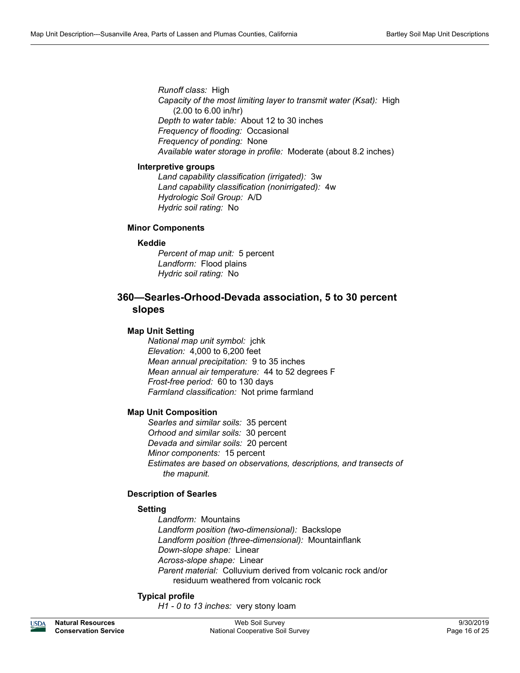*Runoff class:* High *Capacity of the most limiting layer to transmit water (Ksat):* High (2.00 to 6.00 in/hr) *Depth to water table:* About 12 to 30 inches *Frequency of flooding:* Occasional *Frequency of ponding:* None *Available water storage in profile:* Moderate (about 8.2 inches)

# **Interpretive groups**

*Land capability classification (irrigated):* 3w *Land capability classification (nonirrigated):* 4w *Hydrologic Soil Group:* A/D *Hydric soil rating:* No

# **Minor Components**

# **Keddie**

*Percent of map unit:* 5 percent *Landform:* Flood plains *Hydric soil rating:* No

# **360—Searles-Orhood-Devada association, 5 to 30 percent slopes**

# **Map Unit Setting**

*National map unit symbol:* jchk *Elevation:* 4,000 to 6,200 feet *Mean annual precipitation:* 9 to 35 inches *Mean annual air temperature:* 44 to 52 degrees F *Frost-free period:* 60 to 130 days *Farmland classification:* Not prime farmland

# **Map Unit Composition**

*Searles and similar soils:* 35 percent *Orhood and similar soils:* 30 percent *Devada and similar soils:* 20 percent *Minor components:* 15 percent *Estimates are based on observations, descriptions, and transects of the mapunit.*

# **Description of Searles**

# **Setting**

*Landform:* Mountains *Landform position (two-dimensional):* Backslope *Landform position (three-dimensional):* Mountainflank *Down-slope shape:* Linear *Across-slope shape:* Linear *Parent material:* Colluvium derived from volcanic rock and/or residuum weathered from volcanic rock

# **Typical profile**

*H1 - 0 to 13 inches:* very stony loam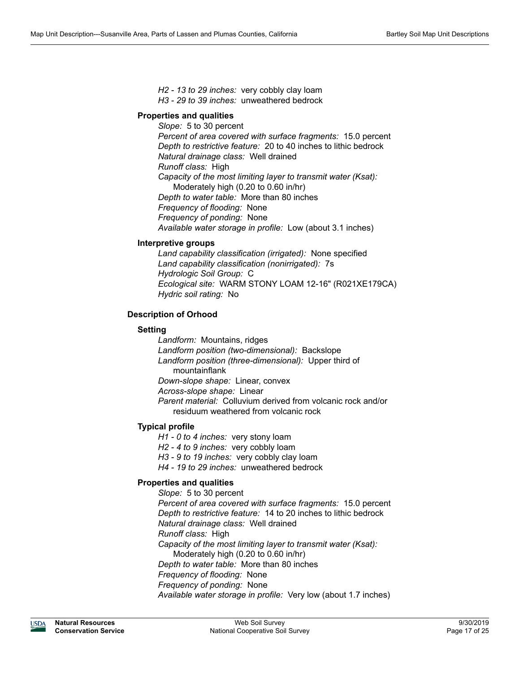*H2 - 13 to 29 inches:* very cobbly clay loam *H3 - 29 to 39 inches:* unweathered bedrock

# **Properties and qualities**

*Slope:* 5 to 30 percent *Percent of area covered with surface fragments:* 15.0 percent *Depth to restrictive feature:* 20 to 40 inches to lithic bedrock *Natural drainage class:* Well drained *Runoff class:* High *Capacity of the most limiting layer to transmit water (Ksat):*  Moderately high (0.20 to 0.60 in/hr) *Depth to water table:* More than 80 inches *Frequency of flooding:* None *Frequency of ponding:* None *Available water storage in profile:* Low (about 3.1 inches)

# **Interpretive groups**

*Land capability classification (irrigated):* None specified *Land capability classification (nonirrigated):* 7s *Hydrologic Soil Group:* C *Ecological site:* WARM STONY LOAM 12-16" (R021XE179CA) *Hydric soil rating:* No

# **Description of Orhood**

# **Setting**

*Landform:* Mountains, ridges *Landform position (two-dimensional):* Backslope *Landform position (three-dimensional):* Upper third of mountainflank *Down-slope shape:* Linear, convex *Across-slope shape:* Linear *Parent material:* Colluvium derived from volcanic rock and/or residuum weathered from volcanic rock

# **Typical profile**

*H1 - 0 to 4 inches:* very stony loam

*H2 - 4 to 9 inches:* very cobbly loam

*H3 - 9 to 19 inches:* very cobbly clay loam

*H4 - 19 to 29 inches:* unweathered bedrock

# **Properties and qualities**

*Slope:* 5 to 30 percent *Percent of area covered with surface fragments:* 15.0 percent *Depth to restrictive feature:* 14 to 20 inches to lithic bedrock *Natural drainage class:* Well drained *Runoff class:* High *Capacity of the most limiting layer to transmit water (Ksat):*  Moderately high (0.20 to 0.60 in/hr) *Depth to water table:* More than 80 inches *Frequency of flooding:* None *Frequency of ponding:* None *Available water storage in profile:* Very low (about 1.7 inches)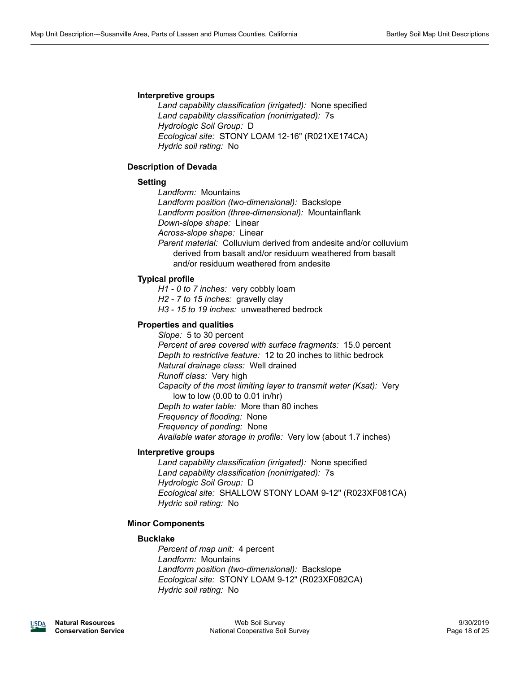### **Interpretive groups**

*Land capability classification (irrigated):* None specified *Land capability classification (nonirrigated):* 7s *Hydrologic Soil Group:* D *Ecological site:* STONY LOAM 12-16" (R021XE174CA) *Hydric soil rating:* No

# **Description of Devada**

# **Setting**

*Landform:* Mountains *Landform position (two-dimensional):* Backslope *Landform position (three-dimensional):* Mountainflank *Down-slope shape:* Linear *Across-slope shape:* Linear *Parent material:* Colluvium derived from andesite and/or colluvium derived from basalt and/or residuum weathered from basalt and/or residuum weathered from andesite

# **Typical profile**

- *H1 0 to 7 inches:* very cobbly loam
- *H2 7 to 15 inches:* gravelly clay
- *H3 15 to 19 inches:* unweathered bedrock

# **Properties and qualities**

*Slope:* 5 to 30 percent *Percent of area covered with surface fragments:* 15.0 percent *Depth to restrictive feature:* 12 to 20 inches to lithic bedrock *Natural drainage class:* Well drained *Runoff class:* Very high *Capacity of the most limiting layer to transmit water (Ksat):* Very low to low (0.00 to 0.01 in/hr) *Depth to water table:* More than 80 inches *Frequency of flooding:* None *Frequency of ponding:* None *Available water storage in profile:* Very low (about 1.7 inches)

# **Interpretive groups**

*Land capability classification (irrigated):* None specified *Land capability classification (nonirrigated):* 7s *Hydrologic Soil Group:* D *Ecological site:* SHALLOW STONY LOAM 9-12" (R023XF081CA) *Hydric soil rating:* No

# **Minor Components**

# **Bucklake**

*Percent of map unit:* 4 percent *Landform:* Mountains *Landform position (two-dimensional):* Backslope *Ecological site:* STONY LOAM 9-12" (R023XF082CA) *Hydric soil rating:* No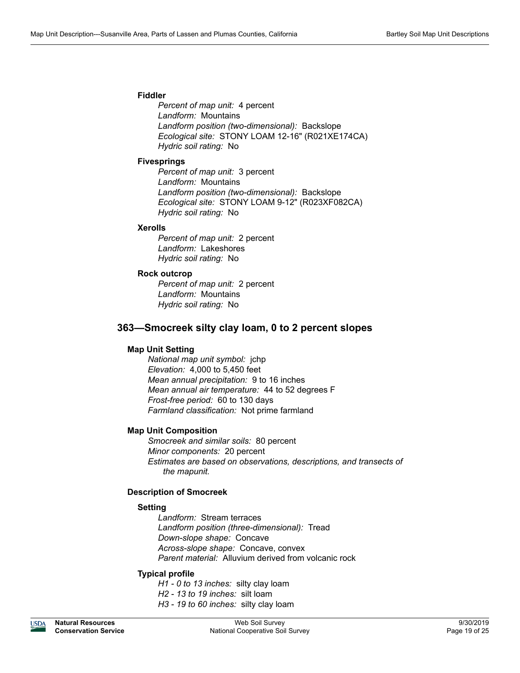# **Fiddler**

*Percent of map unit:* 4 percent *Landform:* Mountains *Landform position (two-dimensional):* Backslope *Ecological site:* STONY LOAM 12-16" (R021XE174CA) *Hydric soil rating:* No

#### **Fivesprings**

*Percent of map unit:* 3 percent *Landform:* Mountains *Landform position (two-dimensional):* Backslope *Ecological site:* STONY LOAM 9-12" (R023XF082CA) *Hydric soil rating:* No

#### **Xerolls**

*Percent of map unit:* 2 percent *Landform:* Lakeshores *Hydric soil rating:* No

### **Rock outcrop**

*Percent of map unit:* 2 percent *Landform:* Mountains *Hydric soil rating:* No

# **363—Smocreek silty clay loam, 0 to 2 percent slopes**

# **Map Unit Setting**

*National map unit symbol:* jchp *Elevation:* 4,000 to 5,450 feet *Mean annual precipitation:* 9 to 16 inches *Mean annual air temperature:* 44 to 52 degrees F *Frost-free period:* 60 to 130 days *Farmland classification:* Not prime farmland

# **Map Unit Composition**

*Smocreek and similar soils:* 80 percent *Minor components:* 20 percent *Estimates are based on observations, descriptions, and transects of the mapunit.*

#### **Description of Smocreek**

# **Setting**

*Landform:* Stream terraces *Landform position (three-dimensional):* Tread *Down-slope shape:* Concave *Across-slope shape:* Concave, convex *Parent material:* Alluvium derived from volcanic rock

# **Typical profile**

*H1 - 0 to 13 inches:* silty clay loam *H2 - 13 to 19 inches:* silt loam *H3 - 19 to 60 inches:* silty clay loam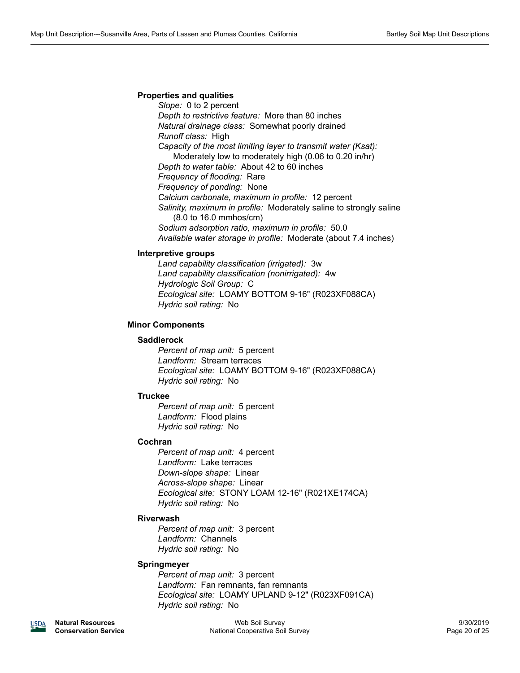# **Properties and qualities**

*Slope:* 0 to 2 percent *Depth to restrictive feature:* More than 80 inches *Natural drainage class:* Somewhat poorly drained *Runoff class:* High *Capacity of the most limiting layer to transmit water (Ksat):*  Moderately low to moderately high (0.06 to 0.20 in/hr) *Depth to water table:* About 42 to 60 inches *Frequency of flooding:* Rare *Frequency of ponding:* None *Calcium carbonate, maximum in profile:* 12 percent *Salinity, maximum in profile:* Moderately saline to strongly saline (8.0 to 16.0 mmhos/cm) *Sodium adsorption ratio, maximum in profile:* 50.0 *Available water storage in profile:* Moderate (about 7.4 inches)

# **Interpretive groups**

*Land capability classification (irrigated):* 3w *Land capability classification (nonirrigated):* 4w *Hydrologic Soil Group:* C *Ecological site:* LOAMY BOTTOM 9-16" (R023XF088CA) *Hydric soil rating:* No

# **Minor Components**

### **Saddlerock**

*Percent of map unit:* 5 percent *Landform:* Stream terraces *Ecological site:* LOAMY BOTTOM 9-16" (R023XF088CA) *Hydric soil rating:* No

# **Truckee**

*Percent of map unit:* 5 percent *Landform:* Flood plains *Hydric soil rating:* No

# **Cochran**

*Percent of map unit:* 4 percent *Landform:* Lake terraces *Down-slope shape:* Linear *Across-slope shape:* Linear *Ecological site:* STONY LOAM 12-16" (R021XE174CA) *Hydric soil rating:* No

# **Riverwash**

*Percent of map unit:* 3 percent *Landform:* Channels *Hydric soil rating:* No

# **Springmeyer**

*Percent of map unit:* 3 percent *Landform:* Fan remnants, fan remnants *Ecological site:* LOAMY UPLAND 9-12" (R023XF091CA) *Hydric soil rating:* No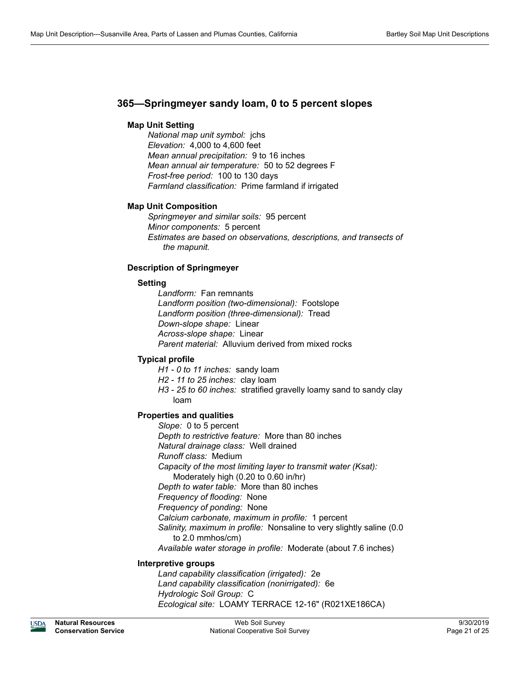# **365—Springmeyer sandy loam, 0 to 5 percent slopes**

# **Map Unit Setting**

*National map unit symbol:* jchs *Elevation:* 4,000 to 4,600 feet *Mean annual precipitation:* 9 to 16 inches *Mean annual air temperature:* 50 to 52 degrees F *Frost-free period:* 100 to 130 days *Farmland classification:* Prime farmland if irrigated

# **Map Unit Composition**

*Springmeyer and similar soils:* 95 percent *Minor components:* 5 percent *Estimates are based on observations, descriptions, and transects of the mapunit.*

# **Description of Springmeyer**

# **Setting**

*Landform:* Fan remnants *Landform position (two-dimensional):* Footslope *Landform position (three-dimensional):* Tread *Down-slope shape:* Linear *Across-slope shape:* Linear *Parent material:* Alluvium derived from mixed rocks

# **Typical profile**

- *H1 0 to 11 inches:* sandy loam
- *H2 11 to 25 inches:* clay loam
- *H3 25 to 60 inches:* stratified gravelly loamy sand to sandy clay loam

# **Properties and qualities**

*Slope:* 0 to 5 percent *Depth to restrictive feature:* More than 80 inches *Natural drainage class:* Well drained *Runoff class:* Medium *Capacity of the most limiting layer to transmit water (Ksat):*  Moderately high (0.20 to 0.60 in/hr) *Depth to water table:* More than 80 inches *Frequency of flooding:* None *Frequency of ponding:* None *Calcium carbonate, maximum in profile:* 1 percent *Salinity, maximum in profile:* Nonsaline to very slightly saline (0.0 to 2.0 mmhos/cm)

*Available water storage in profile:* Moderate (about 7.6 inches)

# **Interpretive groups**

*Land capability classification (irrigated):* 2e *Land capability classification (nonirrigated):* 6e *Hydrologic Soil Group:* C *Ecological site:* LOAMY TERRACE 12-16" (R021XE186CA)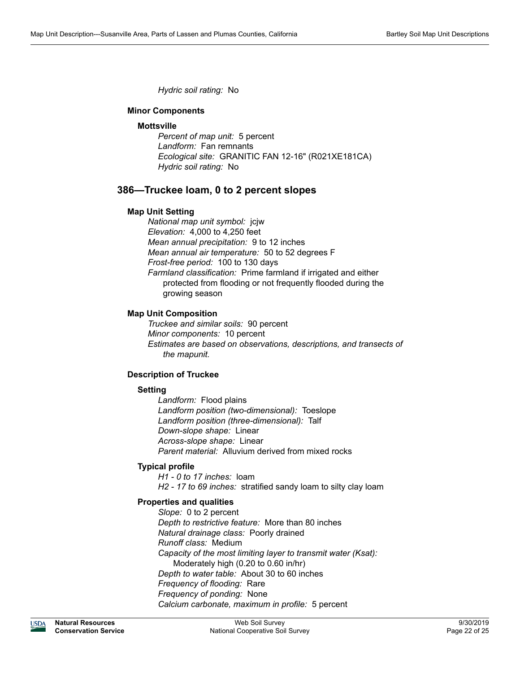*Hydric soil rating:* No

# **Minor Components**

#### **Mottsville**

*Percent of map unit:* 5 percent *Landform:* Fan remnants *Ecological site:* GRANITIC FAN 12-16" (R021XE181CA) *Hydric soil rating:* No

# **386—Truckee loam, 0 to 2 percent slopes**

#### **Map Unit Setting**

*National map unit symbol:* jcjw *Elevation:* 4,000 to 4,250 feet *Mean annual precipitation:* 9 to 12 inches *Mean annual air temperature:* 50 to 52 degrees F *Frost-free period:* 100 to 130 days *Farmland classification:* Prime farmland if irrigated and either protected from flooding or not frequently flooded during the growing season

#### **Map Unit Composition**

*Truckee and similar soils:* 90 percent *Minor components:* 10 percent *Estimates are based on observations, descriptions, and transects of the mapunit.*

# **Description of Truckee**

#### **Setting**

*Landform:* Flood plains *Landform position (two-dimensional):* Toeslope *Landform position (three-dimensional):* Talf *Down-slope shape:* Linear *Across-slope shape:* Linear *Parent material:* Alluvium derived from mixed rocks

#### **Typical profile**

*H1 - 0 to 17 inches:* loam *H2 - 17 to 69 inches:* stratified sandy loam to silty clay loam

# **Properties and qualities**

*Slope:* 0 to 2 percent *Depth to restrictive feature:* More than 80 inches *Natural drainage class:* Poorly drained *Runoff class:* Medium *Capacity of the most limiting layer to transmit water (Ksat):*  Moderately high (0.20 to 0.60 in/hr) *Depth to water table:* About 30 to 60 inches *Frequency of flooding:* Rare *Frequency of ponding:* None *Calcium carbonate, maximum in profile:* 5 percent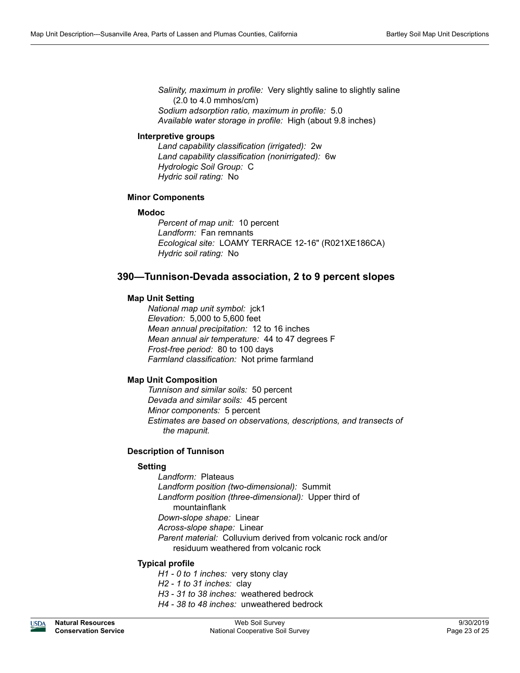*Salinity, maximum in profile:* Very slightly saline to slightly saline (2.0 to 4.0 mmhos/cm) *Sodium adsorption ratio, maximum in profile:* 5.0 *Available water storage in profile:* High (about 9.8 inches)

#### **Interpretive groups**

*Land capability classification (irrigated):* 2w *Land capability classification (nonirrigated):* 6w *Hydrologic Soil Group:* C *Hydric soil rating:* No

# **Minor Components**

#### **Modoc**

*Percent of map unit:* 10 percent *Landform:* Fan remnants *Ecological site:* LOAMY TERRACE 12-16" (R021XE186CA) *Hydric soil rating:* No

# **390—Tunnison-Devada association, 2 to 9 percent slopes**

# **Map Unit Setting**

*National map unit symbol:* jck1 *Elevation:* 5,000 to 5,600 feet *Mean annual precipitation:* 12 to 16 inches *Mean annual air temperature:* 44 to 47 degrees F *Frost-free period:* 80 to 100 days *Farmland classification:* Not prime farmland

# **Map Unit Composition**

*Tunnison and similar soils:* 50 percent *Devada and similar soils:* 45 percent *Minor components:* 5 percent *Estimates are based on observations, descriptions, and transects of the mapunit.*

# **Description of Tunnison**

# **Setting**

*Landform:* Plateaus *Landform position (two-dimensional):* Summit *Landform position (three-dimensional):* Upper third of mountainflank *Down-slope shape:* Linear *Across-slope shape:* Linear *Parent material:* Colluvium derived from volcanic rock and/or residuum weathered from volcanic rock

# **Typical profile**

- *H1 0 to 1 inches:* very stony clay
- *H2 1 to 31 inches:* clay
- *H3 31 to 38 inches:* weathered bedrock
- *H4 38 to 48 inches:* unweathered bedrock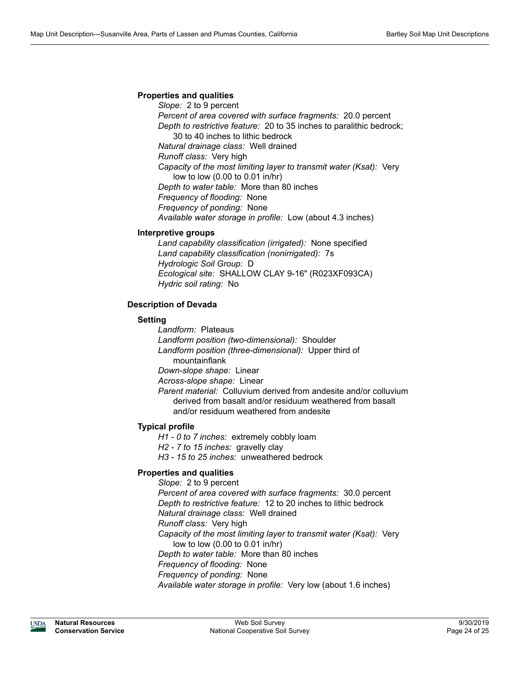# **Properties and qualities**

*Slope:* 2 to 9 percent *Percent of area covered with surface fragments:* 20.0 percent *Depth to restrictive feature:* 20 to 35 inches to paralithic bedrock; 30 to 40 inches to lithic bedrock *Natural drainage class:* Well drained *Runoff class:* Very high *Capacity of the most limiting layer to transmit water (Ksat):* Very low to low (0.00 to 0.01 in/hr) *Depth to water table:* More than 80 inches *Frequency of flooding:* None *Frequency of ponding:* None *Available water storage in profile:* Low (about 4.3 inches)

#### **Interpretive groups**

*Land capability classification (irrigated):* None specified *Land capability classification (nonirrigated):* 7s *Hydrologic Soil Group:* D *Ecological site:* SHALLOW CLAY 9-16" (R023XF093CA) *Hydric soil rating:* No

# **Description of Devada**

# **Setting**

*Landform:* Plateaus *Landform position (two-dimensional):* Shoulder *Landform position (three-dimensional):* Upper third of mountainflank *Down-slope shape:* Linear

*Across-slope shape:* Linear

*Parent material:* Colluvium derived from andesite and/or colluvium derived from basalt and/or residuum weathered from basalt and/or residuum weathered from andesite

# **Typical profile**

*H1 - 0 to 7 inches:* extremely cobbly loam

*H2 - 7 to 15 inches:* gravelly clay

*H3 - 15 to 25 inches:* unweathered bedrock

# **Properties and qualities**

*Slope:* 2 to 9 percent *Percent of area covered with surface fragments:* 30.0 percent *Depth to restrictive feature:* 12 to 20 inches to lithic bedrock *Natural drainage class:* Well drained *Runoff class:* Very high *Capacity of the most limiting layer to transmit water (Ksat):* Very low to low (0.00 to 0.01 in/hr) *Depth to water table:* More than 80 inches *Frequency of flooding:* None *Frequency of ponding:* None *Available water storage in profile:* Very low (about 1.6 inches)